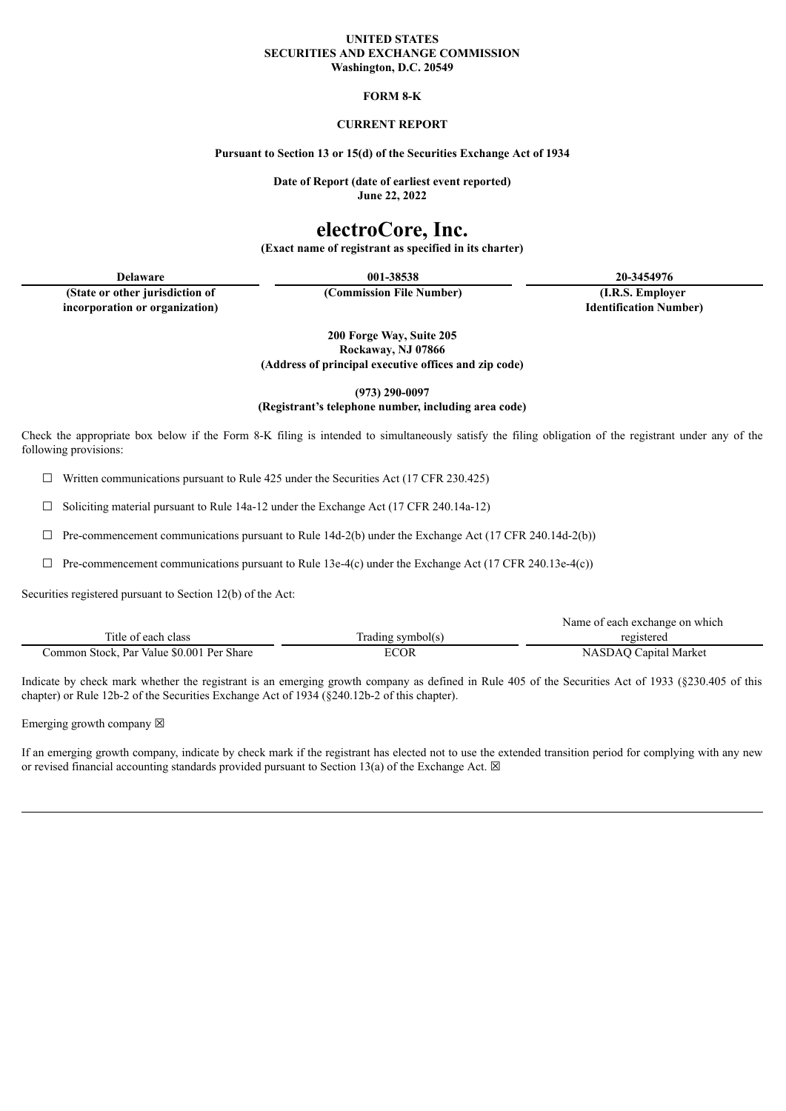#### **UNITED STATES SECURITIES AND EXCHANGE COMMISSION Washington, D.C. 20549**

#### **FORM 8-K**

### **CURRENT REPORT**

#### **Pursuant to Section 13 or 15(d) of the Securities Exchange Act of 1934**

**Date of Report (date of earliest event reported) June 22, 2022**

# **electroCore, Inc.**

**(Exact name of registrant as specified in its charter)**

**Delaware 001-38538 20-3454976**

**(State or other jurisdiction of incorporation or organization)**

**(Commission File Number) (I.R.S. Employer Identification Number)**

**200 Forge Way, Suite 205 Rockaway, NJ 07866 (Address of principal executive offices and zip code)**

**(973) 290-0097**

**(Registrant's telephone number, including area code)**

Check the appropriate box below if the Form 8-K filing is intended to simultaneously satisfy the filing obligation of the registrant under any of the following provisions:

 $\Box$  Written communications pursuant to Rule 425 under the Securities Act (17 CFR 230.425)

☐ Soliciting material pursuant to Rule 14a-12 under the Exchange Act (17 CFR 240.14a-12)

 $\Box$  Pre-commencement communications pursuant to Rule 14d-2(b) under the Exchange Act (17 CFR 240.14d-2(b))

 $\Box$  Pre-commencement communications pursuant to Rule 13e-4(c) under the Exchange Act (17 CFR 240.13e-4(c))

Securities registered pursuant to Section 12(b) of the Act:

|                                           |                   | Name of each exchange on which |
|-------------------------------------------|-------------------|--------------------------------|
| Title of each class                       | Trading symbol(s) | registered                     |
| Common Stock, Par Value \$0.001 Per Share | <b>ECOR</b>       | NASDAQ Capital Market          |

Indicate by check mark whether the registrant is an emerging growth company as defined in Rule 405 of the Securities Act of 1933 (§230.405 of this chapter) or Rule 12b-2 of the Securities Exchange Act of 1934 (§240.12b-2 of this chapter).

Emerging growth company  $\boxtimes$ 

If an emerging growth company, indicate by check mark if the registrant has elected not to use the extended transition period for complying with any new or revised financial accounting standards provided pursuant to Section 13(a) of the Exchange Act.  $\boxtimes$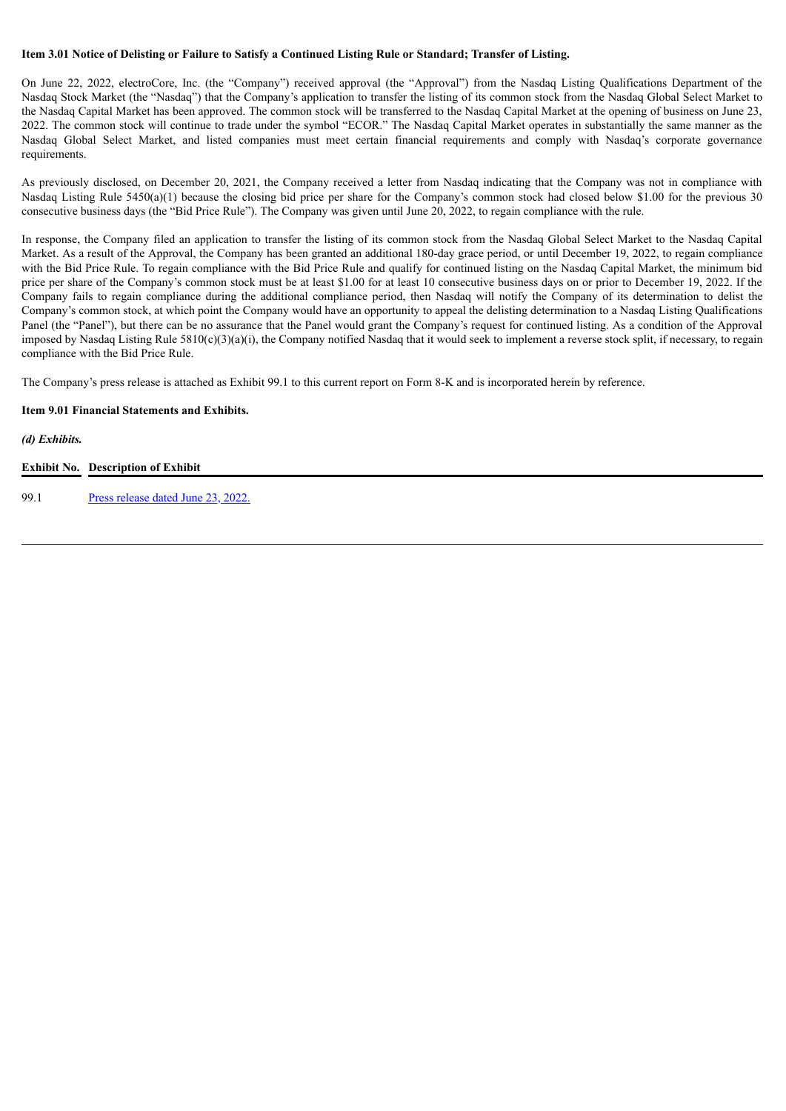#### Item 3.01 Notice of Delisting or Failure to Satisfy a Continued Listing Rule or Standard; Transfer of Listing.

On June 22, 2022, electroCore, Inc. (the "Company") received approval (the "Approval") from the Nasdaq Listing Qualifications Department of the Nasdaq Stock Market (the "Nasdaq") that the Company's application to transfer the listing of its common stock from the Nasdaq Global Select Market to the Nasdaq Capital Market has been approved. The common stock will be transferred to the Nasdaq Capital Market at the opening of business on June 23, 2022. The common stock will continue to trade under the symbol "ECOR." The Nasdaq Capital Market operates in substantially the same manner as the Nasdaq Global Select Market, and listed companies must meet certain financial requirements and comply with Nasdaq's corporate governance requirements.

As previously disclosed, on December 20, 2021, the Company received a letter from Nasdaq indicating that the Company was not in compliance with Nasdaq Listing Rule 5450(a)(1) because the closing bid price per share for the Company's common stock had closed below \$1.00 for the previous 30 consecutive business days (the "Bid Price Rule"). The Company was given until June 20, 2022, to regain compliance with the rule.

In response, the Company filed an application to transfer the listing of its common stock from the Nasdaq Global Select Market to the Nasdaq Capital Market. As a result of the Approval, the Company has been granted an additional 180-day grace period, or until December 19, 2022, to regain compliance with the Bid Price Rule. To regain compliance with the Bid Price Rule and qualify for continued listing on the Nasdaq Capital Market, the minimum bid price per share of the Company's common stock must be at least \$1.00 for at least 10 consecutive business days on or prior to December 19, 2022. If the Company fails to regain compliance during the additional compliance period, then Nasdaq will notify the Company of its determination to delist the Company's common stock, at which point the Company would have an opportunity to appeal the delisting determination to a Nasdaq Listing Qualifications Panel (the "Panel"), but there can be no assurance that the Panel would grant the Company's request for continued listing. As a condition of the Approval imposed by Nasdaq Listing Rule 5810(c)(3)(a)(i), the Company notified Nasdaq that it would seek to implement a reverse stock split, if necessary, to regain compliance with the Bid Price Rule.

The Company's press release is attached as Exhibit 99.1 to this current report on Form 8-K and is incorporated herein by reference.

#### **Item 9.01 Financial Statements and Exhibits.**

*(d) Exhibits.*

#### **Exhibit No. Description of Exhibit**

99.1 Press [release](#page-3-0) dated June 23, 2022.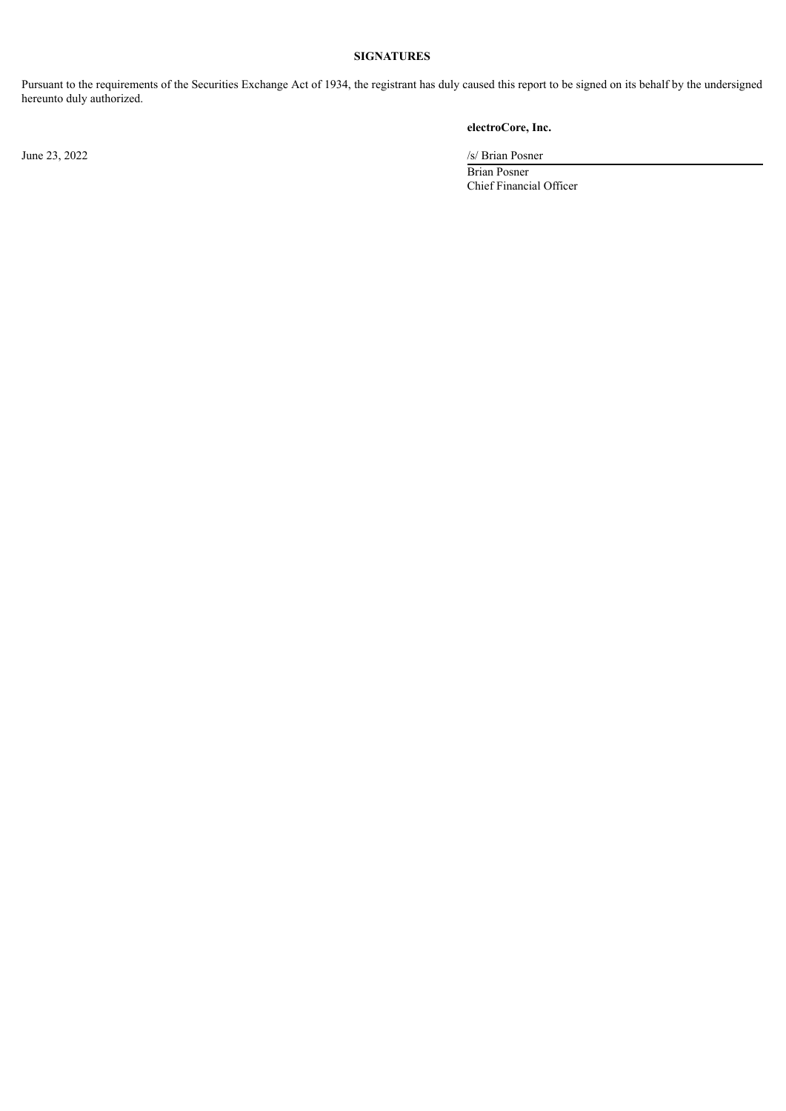## **SIGNATURES**

Pursuant to the requirements of the Securities Exchange Act of 1934, the registrant has duly caused this report to be signed on its behalf by the undersigned hereunto duly authorized.

## **electroCore, Inc.**

June 23, 2022 /s/ Brian Posner

Brian Posner Chief Financial Officer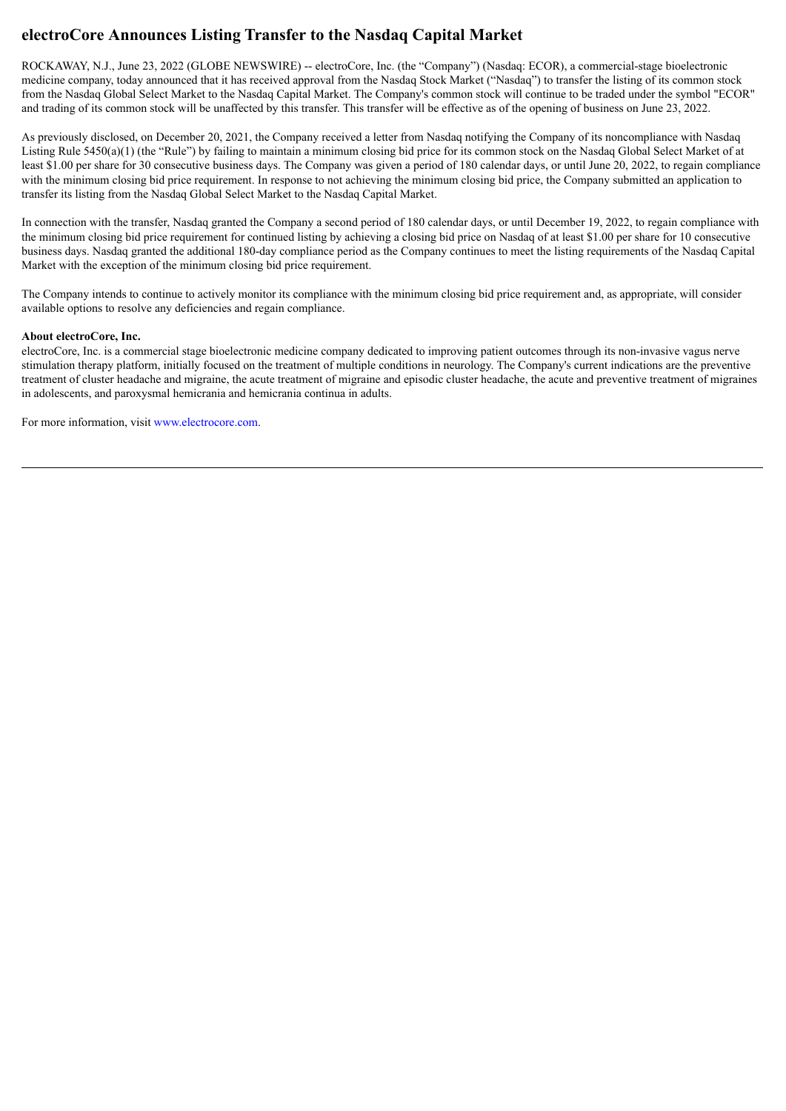## <span id="page-3-0"></span>**electroCore Announces Listing Transfer to the Nasdaq Capital Market**

ROCKAWAY, N.J., June 23, 2022 (GLOBE NEWSWIRE) -- electroCore, Inc. (the "Company") (Nasdaq: ECOR), a commercial-stage bioelectronic medicine company, today announced that it has received approval from the Nasdaq Stock Market ("Nasdaq") to transfer the listing of its common stock from the Nasdaq Global Select Market to the Nasdaq Capital Market. The Company's common stock will continue to be traded under the symbol "ECOR" and trading of its common stock will be unaffected by this transfer. This transfer will be effective as of the opening of business on June 23, 2022.

As previously disclosed, on December 20, 2021, the Company received a letter from Nasdaq notifying the Company of its noncompliance with Nasdaq Listing Rule 5450(a)(1) (the "Rule") by failing to maintain a minimum closing bid price for its common stock on the Nasdaq Global Select Market of at least \$1.00 per share for 30 consecutive business days. The Company was given a period of 180 calendar days, or until June 20, 2022, to regain compliance with the minimum closing bid price requirement. In response to not achieving the minimum closing bid price, the Company submitted an application to transfer its listing from the Nasdaq Global Select Market to the Nasdaq Capital Market.

In connection with the transfer, Nasdaq granted the Company a second period of 180 calendar days, or until December 19, 2022, to regain compliance with the minimum closing bid price requirement for continued listing by achieving a closing bid price on Nasdaq of at least \$1.00 per share for 10 consecutive business days. Nasdaq granted the additional 180-day compliance period as the Company continues to meet the listing requirements of the Nasdaq Capital Market with the exception of the minimum closing bid price requirement.

The Company intends to continue to actively monitor its compliance with the minimum closing bid price requirement and, as appropriate, will consider available options to resolve any deficiencies and regain compliance.

#### **About electroCore, Inc.**

electroCore, Inc. is a commercial stage bioelectronic medicine company dedicated to improving patient outcomes through its non-invasive vagus nerve stimulation therapy platform, initially focused on the treatment of multiple conditions in neurology. The Company's current indications are the preventive treatment of cluster headache and migraine, the acute treatment of migraine and episodic cluster headache, the acute and preventive treatment of migraines in adolescents, and paroxysmal hemicrania and hemicrania continua in adults.

For more information, visit www.electrocore.com.